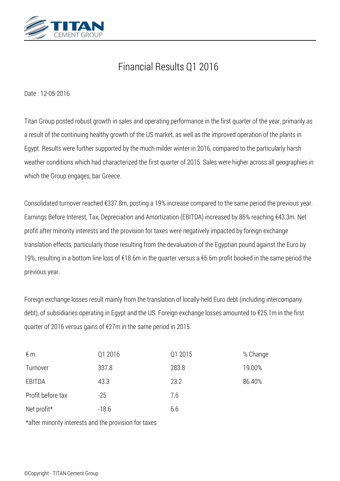

## *Financial Results Q1 2016*

*Date : 12-05-2016*

*Titan Group posted robust growth in sales and operating performance in the first quarter of the year, primarily as a result of the continuing healthy growth of the US market, as well as the improved operation of the plants in Egypt. Results were further supported by the much milder winter in 2016, compared to the particularly harsh weather conditions which had characterized the first quarter of 2015. Sales were higher across all geographies in which the Group engages, bar Greece.*

*Consolidated turnover reached €337.8m, posting a 19% increase compared to the same period the previous year. Earnings Before Interest, Tax, Depreciation and Amortization (EBITDA) increased by 86% reaching €43.3m. Net profit after minority interests and the provision for taxes were negatively impacted by foreign exchange translation effects, particularly those resulting from the devaluation of the Egyptian pound against the Euro by 19%, resulting in a bottom line loss of €18.6m in the quarter versus a €6.6m profit booked in the same period the previous year.*

*Foreign exchange losses result mainly from the translation of locally-held Euro debt (including intercompany debt), of subsidiaries operating in Egypt and the US. Foreign exchange losses amounted to €25.1m in the first quarter of 2016 versus gains of €27m in the same period in 2015.*

| $\notin$ m.       | Q1 2016 | Q1 2015 | % Change |
|-------------------|---------|---------|----------|
| Turnover          | 337.8   | 283.8   | 19.00%   |
| EBITDA            | 43.3    | 23.2    | 86.40%   |
| Profit before tax | $-25$   | 7.6     |          |
| Net profit*       | $-18.6$ | 6.6     |          |

*\*after minority interests and the provision for taxes*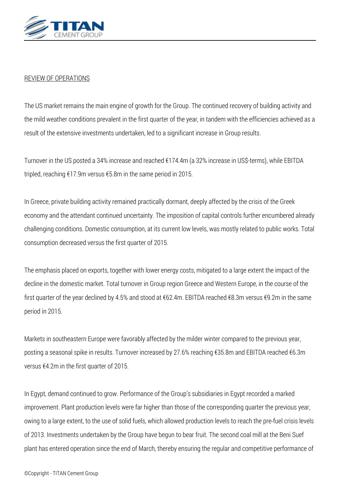

## *REVIEW OF OPERATIONS*

*The US market remains the main engine of growth for the Group. The continued recovery of building activity and the mild weather conditions prevalent in the first quarter of the year, in tandem with the efficiencies achieved as a result of the extensive investments undertaken, led to a significant increase in Group results.*

*Turnover in the US posted a 34% increase and reached €174.4m (a 32% increase in US\$-terms), while EBITDA tripled, reaching €17.9m versus €5.8m in the same period in 2015.*

*In Greece, private building activity remained practically dormant, deeply affected by the crisis of the Greek economy and the attendant continued uncertainty. The imposition of capital controls further encumbered already challenging conditions. Domestic consumption, at its current low levels, was mostly related to public works. Total consumption decreased versus the first quarter of 2015.*

*The emphasis placed on exports, together with lower energy costs, mitigated to a large extent the impact of the decline in the domestic market. Total turnover in Group region Greece and Western Europe, in the course of the first quarter of the year declined by 4.5% and stood at €62.4m. EBITDA reached €8.3m versus €9.2m in the same period in 2015.*

*Markets in southeastern Europe were favorably affected by the milder winter compared to the previous year, posting a seasonal spike in results. Turnover increased by 27.6% reaching €35.8m and EBITDA reached €6.3m versus €4.2m in the first quarter of 2015.*

*In Egypt, demand continued to grow. Performance of the Group's subsidiaries in Egypt recorded a marked improvement. Plant production levels were far higher than those of the corresponding quarter the previous year, owing to a large extent, to the use of solid fuels, which allowed production levels to reach the pre-fuel crisis levels of 2013. Investments undertaken by the Group have begun to bear fruit. The second coal mill at the Beni Suef plant has entered operation since the end of March, thereby ensuring the regular and competitive performance of*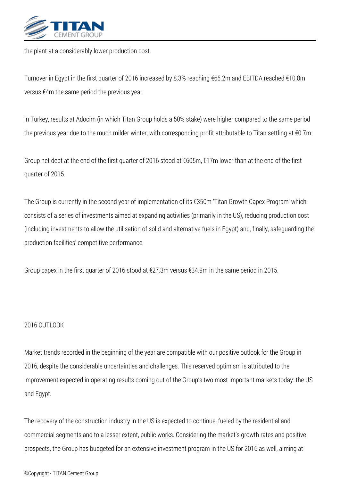

*the plant at a considerably lower production cost.*

*Turnover in Egypt in the first quarter of 2016 increased by 8.3% reaching €65.2m and EBITDA reached €10.8m versus €4m the same period the previous year.*

*In Turkey, results at Adocim (in which Titan Group holds a 50% stake) were higher compared to the same period the previous year due to the much milder winter, with corresponding profit attributable to Titan settling at €0.7m.*

*Group net debt at the end of the first quarter of 2016 stood at €605m, €17m lower than at the end of the first quarter of 2015.*

*The Group is currently in the second year of implementation of its €350m 'Titan Growth Capex Program' which consists of a series of investments aimed at expanding activities (primarily in the US), reducing production cost (including investments to allow the utilisation of solid and alternative fuels in Egypt) and, finally, safeguarding the production facilities' competitive performance.*

*Group capex in the first quarter of 2016 stood at €27.3m versus €34.9m in the same period in 2015.*

## *2016 OUTLOOK*

*Market trends recorded in the beginning of the year are compatible with our positive outlook for the Group in 2016, despite the considerable uncertainties and challenges. This reserved optimism is attributed to the improvement expected in operating results coming out of the Group's two most important markets today: the US and Egypt.*

*The recovery of the construction industry in the US is expected to continue, fueled by the residential and commercial segments and to a lesser extent, public works. Considering the market's growth rates and positive prospects, the Group has budgeted for an extensive investment program in the US for 2016 as well, aiming at*